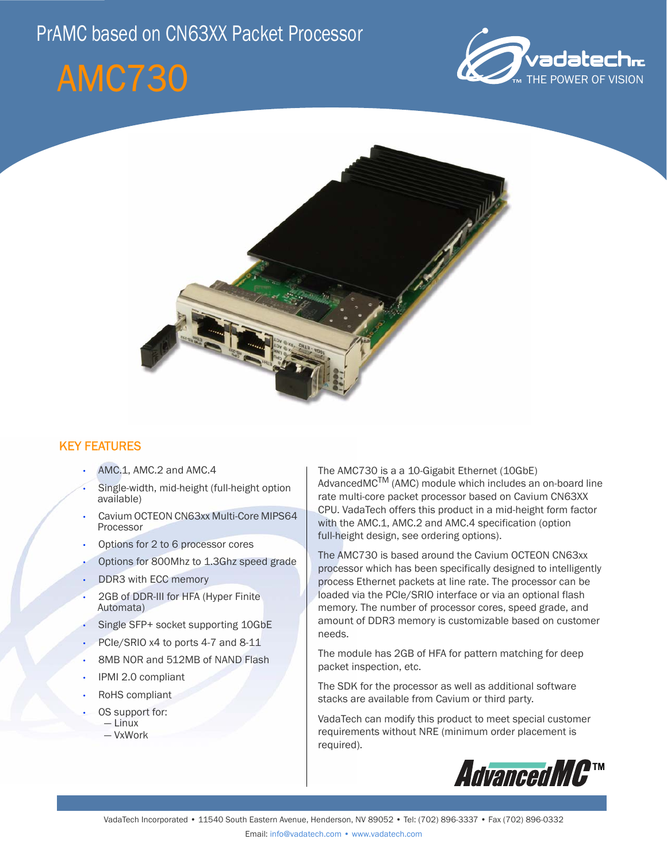## PrAMC based on CN63XX Packet Processor

# AMC730





### KEY FEATURES

- AMC.1, AMC.2 and AMC.4
- Single-width, mid-height (full-height option available)
- Cavium OCTEON CN63xx Multi-Core MIPS64 Processor
- Options for 2 to 6 processor cores
- Options for 800Mhz to 1.3Ghz speed grade
- DDR3 with ECC memory
- 2GB of DDR-III for HFA (Hyper Finite Automata)
- Single SFP+ socket supporting 10GbE
- PCIe/SRIO x4 to ports 4-7 and 8-11
- 8MB NOR and 512MB of NAND Flash
- IPMI 2.0 compliant
- RoHS compliant
- OS support for:
	- Linux

- 
- VxWork

The AMC730 is a a 10-Gigabit Ethernet (10GbE) AdvancedMC<sup>TM</sup> (AMC) module which includes an on-board line rate multi-core packet processor based on Cavium CN63XX CPU. VadaTech offers this product in a mid-height form factor with the AMC.1, AMC.2 and AMC.4 specification (option full-height design, see ordering options).

The AMC730 is based around the Cavium OCTEON CN63xx processor which has been specifically designed to intelligently process Ethernet packets at line rate. The processor can be loaded via the PCIe/SRIO interface or via an optional flash memory. The number of processor cores, speed grade, and amount of DDR3 memory is customizable based on customer needs.

The module has 2GB of HFA for pattern matching for deep packet inspection, etc.

The SDK for the processor as well as additional software stacks are available from Cavium or third party.

VadaTech can modify this product to meet special customer requirements without NRE (minimum order placement is required).

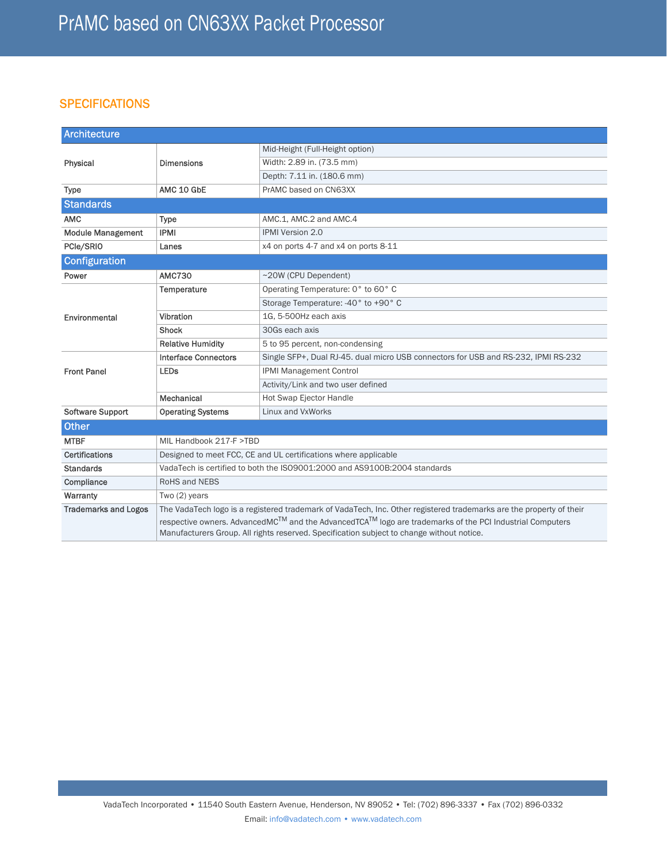### **SPECIFICATIONS**

| <b>Architecture</b>         |                                                                                                                                                                                                                   |                                                                                    |  |  |  |  |
|-----------------------------|-------------------------------------------------------------------------------------------------------------------------------------------------------------------------------------------------------------------|------------------------------------------------------------------------------------|--|--|--|--|
|                             | <b>Dimensions</b>                                                                                                                                                                                                 | Mid-Height (Full-Height option)                                                    |  |  |  |  |
| Physical                    |                                                                                                                                                                                                                   | Width: 2.89 in. (73.5 mm)                                                          |  |  |  |  |
|                             |                                                                                                                                                                                                                   | Depth: 7.11 in. (180.6 mm)                                                         |  |  |  |  |
| <b>Type</b>                 | AMC 10 GbE                                                                                                                                                                                                        | PrAMC based on CN63XX                                                              |  |  |  |  |
| <b>Standards</b>            |                                                                                                                                                                                                                   |                                                                                    |  |  |  |  |
| <b>AMC</b>                  | <b>Type</b>                                                                                                                                                                                                       | AMC.1, AMC.2 and AMC.4                                                             |  |  |  |  |
| <b>Module Management</b>    | <b>IPMI</b>                                                                                                                                                                                                       | <b>IPMI Version 2.0</b>                                                            |  |  |  |  |
| PCle/SRIO                   | Lanes                                                                                                                                                                                                             | x4 on ports 4-7 and x4 on ports 8-11                                               |  |  |  |  |
| <b>Configuration</b>        |                                                                                                                                                                                                                   |                                                                                    |  |  |  |  |
| Power                       | <b>AMC730</b>                                                                                                                                                                                                     | ~20W (CPU Dependent)                                                               |  |  |  |  |
| Environmental               | Temperature                                                                                                                                                                                                       | Operating Temperature: 0° to 60° C                                                 |  |  |  |  |
|                             |                                                                                                                                                                                                                   | Storage Temperature: -40° to +90° C                                                |  |  |  |  |
|                             | Vibration                                                                                                                                                                                                         | 1G, 5-500Hz each axis                                                              |  |  |  |  |
|                             | <b>Shock</b>                                                                                                                                                                                                      | 30Gs each axis                                                                     |  |  |  |  |
|                             | <b>Relative Humidity</b>                                                                                                                                                                                          | 5 to 95 percent, non-condensing                                                    |  |  |  |  |
| <b>Front Panel</b>          | <b>Interface Connectors</b>                                                                                                                                                                                       | Single SFP+, Dual RJ-45. dual micro USB connectors for USB and RS-232, IPMI RS-232 |  |  |  |  |
|                             | <b>LEDs</b>                                                                                                                                                                                                       | <b>IPMI Management Control</b>                                                     |  |  |  |  |
|                             |                                                                                                                                                                                                                   | Activity/Link and two user defined                                                 |  |  |  |  |
|                             | Mechanical                                                                                                                                                                                                        | <b>Hot Swap Ejector Handle</b>                                                     |  |  |  |  |
| Software Support            | <b>Operating Systems</b>                                                                                                                                                                                          | Linux and VxWorks                                                                  |  |  |  |  |
| <b>Other</b>                |                                                                                                                                                                                                                   |                                                                                    |  |  |  |  |
| <b>MTBF</b>                 | MIL Handbook 217-F >TBD                                                                                                                                                                                           |                                                                                    |  |  |  |  |
| <b>Certifications</b>       | Designed to meet FCC, CE and UL certifications where applicable                                                                                                                                                   |                                                                                    |  |  |  |  |
| <b>Standards</b>            | VadaTech is certified to both the ISO9001:2000 and AS9100B:2004 standards                                                                                                                                         |                                                                                    |  |  |  |  |
| Compliance                  | RoHS and NEBS                                                                                                                                                                                                     |                                                                                    |  |  |  |  |
| Warranty                    | Two (2) years                                                                                                                                                                                                     |                                                                                    |  |  |  |  |
| <b>Trademarks and Logos</b> | The VadaTech logo is a registered trademark of VadaTech, Inc. Other registered trademarks are the property of their                                                                                               |                                                                                    |  |  |  |  |
|                             | respective owners. AdvancedMC™ and the AdvancedTCA <sup>TM</sup> logo are trademarks of the PCI Industrial Computers<br>Manufacturers Group. All rights reserved. Specification subject to change without notice. |                                                                                    |  |  |  |  |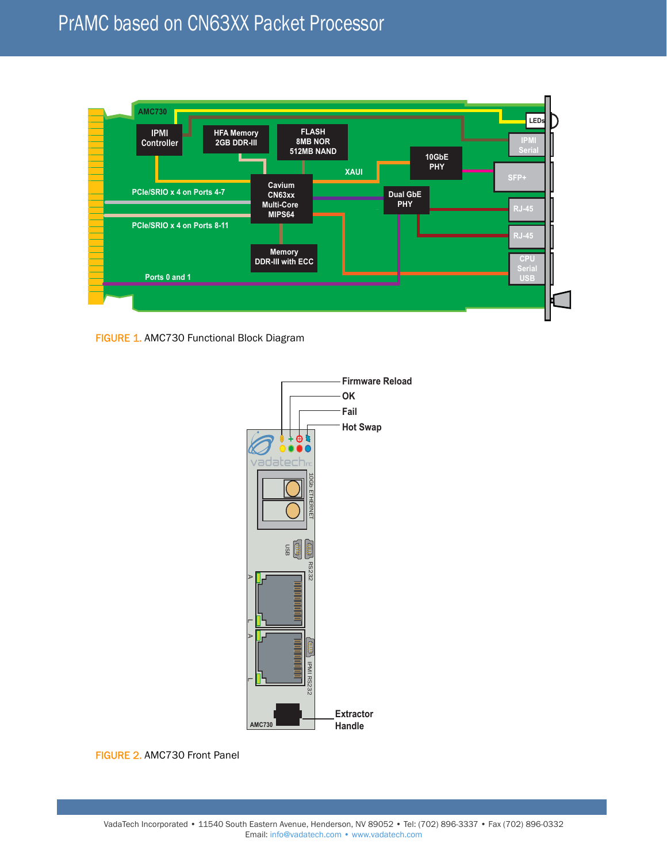

FIGURE 1. AMC730 Functional Block Diagram



FIGURE 2. AMC730 Front Panel